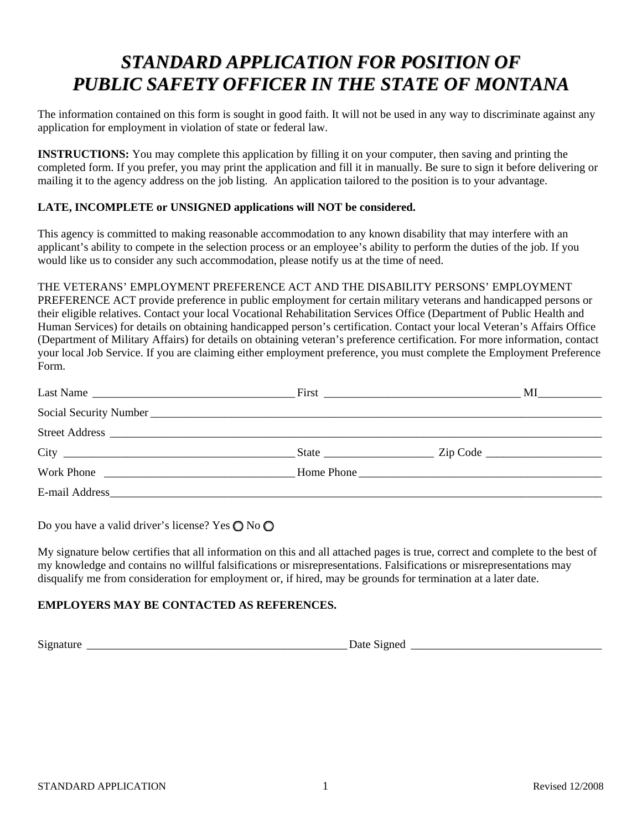# *STANDARD APPLICATION FOR POSITION OF PUBLIC SAFETY OFFICER IN THE STATE OF MONTANA*

The information contained on this form is sought in good faith. It will not be used in any way to discriminate against any application for employment in violation of state or federal law.

**INSTRUCTIONS:** You may complete this application by filling it on your computer, then saving and printing the completed form. If you prefer, you may print the application and fill it in manually. Be sure to sign it before delivering or mailing it to the agency address on the job listing. An application tailored to the position is to your advantage.

## **LATE, INCOMPLETE or UNSIGNED applications will NOT be considered.**

This agency is committed to making reasonable accommodation to any known disability that may interfere with an applicant's ability to compete in the selection process or an employee's ability to perform the duties of the job. If you would like us to consider any such accommodation, please notify us at the time of need.

## THE VETERANS' EMPLOYMENT PREFERENCE ACT AND THE DISABILITY PERSONS' EMPLOYMENT

PREFERENCE ACT provide preference in public employment for certain military veterans and handicapped persons or their eligible relatives. Contact your local Vocational Rehabilitation Services Office (Department of Public Health and Human Services) for details on obtaining handicapped person's certification. Contact your local Veteran's Affairs Office (Department of Military Affairs) for details on obtaining veteran's preference certification. For more information, contact your local Job Service. If you are claiming either employment preference, you must complete the Employment Preference Form.

| Last Name      |            | $MI$ 200 |
|----------------|------------|----------|
|                |            |          |
| Street Address |            |          |
|                |            |          |
| Work Phone     | Home Phone |          |
|                |            |          |

Do you have a valid driver's license? Yes  $\bigcirc$  No  $\bigcirc$ 

My signature below certifies that all information on this and all attached pages is true, correct and complete to the best of my knowledge and contains no willful falsifications or misrepresentations. Falsifications or misrepresentations may disqualify me from consideration for employment or, if hired, may be grounds for termination at a later date.

## **EMPLOYERS MAY BE CONTACTED AS REFERENCES.**

Signature \_\_\_\_\_\_\_\_\_\_\_\_\_\_\_\_\_\_\_\_\_\_\_\_\_\_\_\_\_\_\_\_\_\_\_\_\_\_\_\_\_\_\_\_\_ Date Signed \_\_\_\_\_\_\_\_\_\_\_\_\_\_\_\_\_\_\_\_\_\_\_\_\_\_\_\_\_\_\_\_\_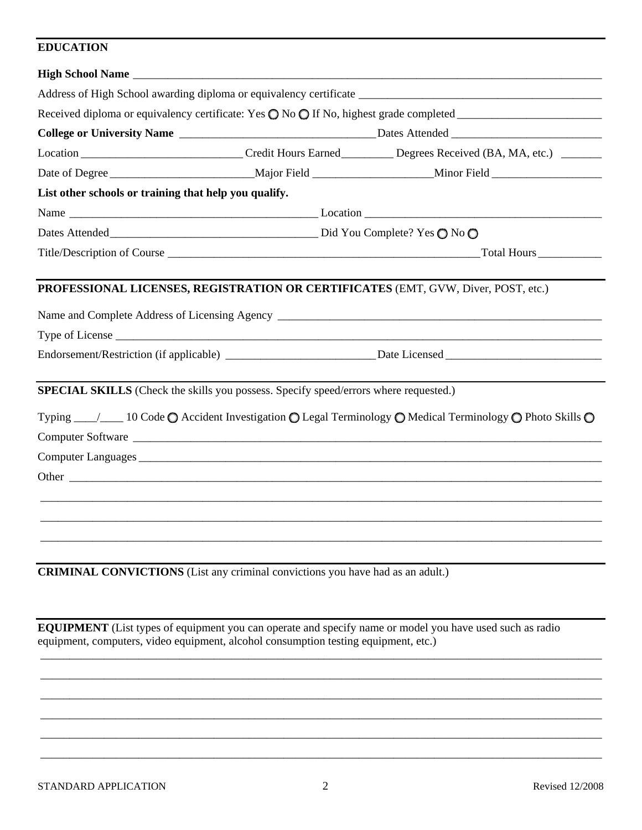## **EDUCATION**

|                                                                                       | Location ______________________________Credit Hours Earned __________ Degrees Received (BA, MA, etc.) _______                                                 |  |
|---------------------------------------------------------------------------------------|---------------------------------------------------------------------------------------------------------------------------------------------------------------|--|
|                                                                                       | Date of Degree _______________________________Major Field _______________________Minor Field _________________                                                |  |
| List other schools or training that help you qualify.                                 |                                                                                                                                                               |  |
|                                                                                       |                                                                                                                                                               |  |
|                                                                                       |                                                                                                                                                               |  |
|                                                                                       |                                                                                                                                                               |  |
| SPECIAL SKILLS (Check the skills you possess. Specify speed/errors where requested.)  |                                                                                                                                                               |  |
|                                                                                       | Typing $\_\_\_\_\_\$ 10 Code $\bigcirc$ Accident Investigation $\bigcirc$ Legal Terminology $\bigcirc$ Medical Terminology $\bigcirc$ Photo Skills $\bigcirc$ |  |
|                                                                                       |                                                                                                                                                               |  |
|                                                                                       |                                                                                                                                                               |  |
| <b>CRIMINAL CONVICTIONS</b> (List any criminal convictions you have had as an adult.) |                                                                                                                                                               |  |

**EQUIPMENT** (List types of equipment you can operate and specify name or model you have used such as radio equipment, computers, video equipment, alcohol consumption testing equipment, etc.)

\_\_\_\_\_\_\_\_\_\_\_\_\_\_\_\_\_\_\_\_\_\_\_\_\_\_\_\_\_\_\_\_\_\_\_\_\_\_\_\_\_\_\_\_\_\_\_\_\_\_\_\_\_\_\_\_\_\_\_\_\_\_\_\_\_\_\_\_\_\_\_\_\_\_\_\_\_\_\_\_\_\_\_\_\_\_\_\_\_\_\_\_\_\_\_\_\_ \_\_\_\_\_\_\_\_\_\_\_\_\_\_\_\_\_\_\_\_\_\_\_\_\_\_\_\_\_\_\_\_\_\_\_\_\_\_\_\_\_\_\_\_\_\_\_\_\_\_\_\_\_\_\_\_\_\_\_\_\_\_\_\_\_\_\_\_\_\_\_\_\_\_\_\_\_\_\_\_\_\_\_\_\_\_\_\_\_\_\_\_\_\_\_\_\_ \_\_\_\_\_\_\_\_\_\_\_\_\_\_\_\_\_\_\_\_\_\_\_\_\_\_\_\_\_\_\_\_\_\_\_\_\_\_\_\_\_\_\_\_\_\_\_\_\_\_\_\_\_\_\_\_\_\_\_\_\_\_\_\_\_\_\_\_\_\_\_\_\_\_\_\_\_\_\_\_\_\_\_\_\_\_\_\_\_\_\_\_\_\_\_\_\_ \_\_\_\_\_\_\_\_\_\_\_\_\_\_\_\_\_\_\_\_\_\_\_\_\_\_\_\_\_\_\_\_\_\_\_\_\_\_\_\_\_\_\_\_\_\_\_\_\_\_\_\_\_\_\_\_\_\_\_\_\_\_\_\_\_\_\_\_\_\_\_\_\_\_\_\_\_\_\_\_\_\_\_\_\_\_\_\_\_\_\_\_\_\_\_\_\_ \_\_\_\_\_\_\_\_\_\_\_\_\_\_\_\_\_\_\_\_\_\_\_\_\_\_\_\_\_\_\_\_\_\_\_\_\_\_\_\_\_\_\_\_\_\_\_\_\_\_\_\_\_\_\_\_\_\_\_\_\_\_\_\_\_\_\_\_\_\_\_\_\_\_\_\_\_\_\_\_\_\_\_\_\_\_\_\_\_\_\_\_\_\_\_\_\_ \_\_\_\_\_\_\_\_\_\_\_\_\_\_\_\_\_\_\_\_\_\_\_\_\_\_\_\_\_\_\_\_\_\_\_\_\_\_\_\_\_\_\_\_\_\_\_\_\_\_\_\_\_\_\_\_\_\_\_\_\_\_\_\_\_\_\_\_\_\_\_\_\_\_\_\_\_\_\_\_\_\_\_\_\_\_\_\_\_\_\_\_\_\_\_\_\_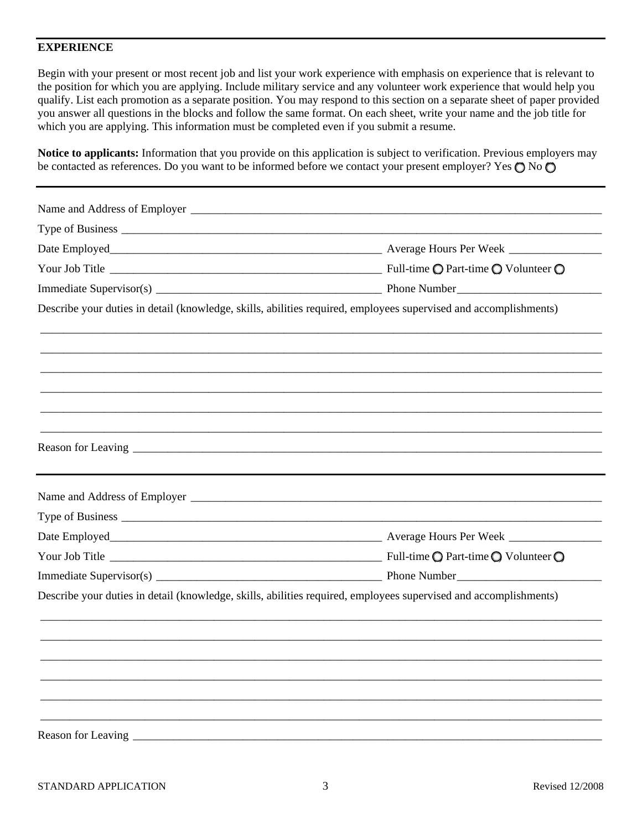#### **EXPERIENCE**

Begin with your present or most recent job and list your work experience with emphasis on experience that is relevant to the position for which you are applying. Include military service and any volunteer work experience that would help you qualify. List each promotion as a separate position. You may respond to this section on a separate sheet of paper provided you answer all questions in the blocks and follow the same format. On each sheet, write your name and the job title for which you are applying. This information must be completed even if you submit a resume.

**Notice to applicants:** Information that you provide on this application is subject to verification. Previous employers may be contacted as references. Do you want to be informed before we contact your present employer? Yes  $\bigcirc$  No  $\bigcirc$ 

|                      | Describe your duties in detail (knowledge, skills, abilities required, employees supervised and accomplishments) |
|----------------------|------------------------------------------------------------------------------------------------------------------|
|                      |                                                                                                                  |
|                      |                                                                                                                  |
|                      |                                                                                                                  |
|                      |                                                                                                                  |
|                      |                                                                                                                  |
|                      |                                                                                                                  |
|                      |                                                                                                                  |
|                      |                                                                                                                  |
|                      |                                                                                                                  |
|                      |                                                                                                                  |
|                      |                                                                                                                  |
|                      |                                                                                                                  |
|                      | Describe your duties in detail (knowledge, skills, abilities required, employees supervised and accomplishments) |
|                      |                                                                                                                  |
|                      |                                                                                                                  |
|                      |                                                                                                                  |
|                      |                                                                                                                  |
|                      |                                                                                                                  |
|                      |                                                                                                                  |
| Reason for Leaving _ |                                                                                                                  |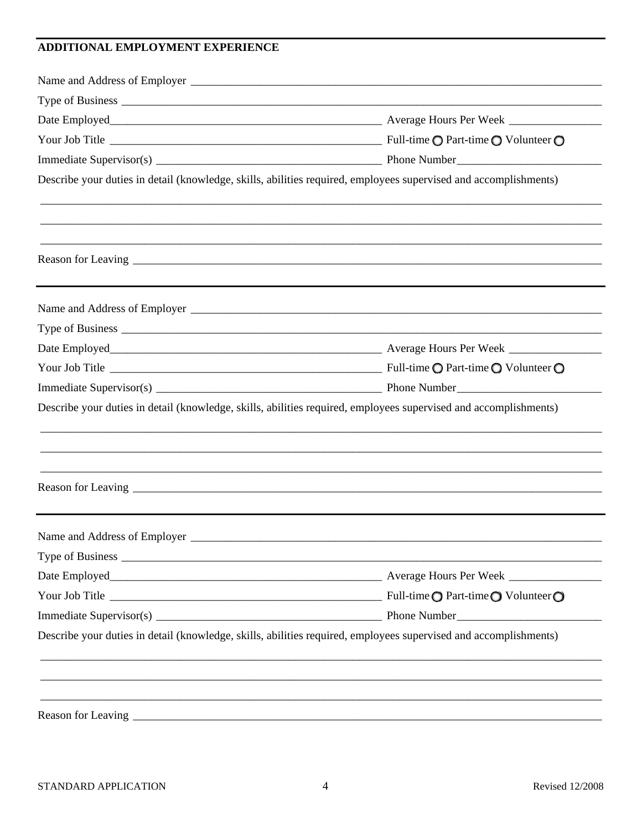## ADDITIONAL EMPLOYMENT EXPERIENCE

|                                | Describe your duties in detail (knowledge, skills, abilities required, employees supervised and accomplishments) |
|--------------------------------|------------------------------------------------------------------------------------------------------------------|
|                                |                                                                                                                  |
|                                |                                                                                                                  |
|                                |                                                                                                                  |
|                                |                                                                                                                  |
|                                |                                                                                                                  |
|                                |                                                                                                                  |
|                                |                                                                                                                  |
|                                |                                                                                                                  |
|                                | Describe your duties in detail (knowledge, skills, abilities required, employees supervised and accomplishments) |
|                                |                                                                                                                  |
|                                |                                                                                                                  |
|                                |                                                                                                                  |
|                                |                                                                                                                  |
| Name and Address of Employer _ |                                                                                                                  |
|                                |                                                                                                                  |
|                                |                                                                                                                  |
|                                |                                                                                                                  |
|                                |                                                                                                                  |
|                                | Describe your duties in detail (knowledge, skills, abilities required, employees supervised and accomplishments) |
|                                |                                                                                                                  |
|                                |                                                                                                                  |
|                                |                                                                                                                  |
|                                |                                                                                                                  |